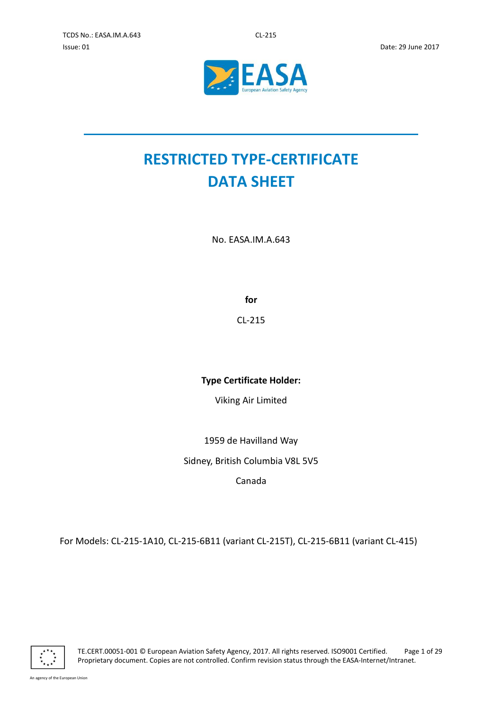

# **RESTRICTED TYPE-CERTIFICATE DATA SHEET**

No. EASA.IM.A.643

*for a form of the state of the state of the state of the state of the state of the state of the state of the state of the state of the state of the state of the state of the state of the state of the state of the state o* 

CL-215

**Type Certificate Holder:** 

Viking Air Limited

1959 de Havilland Way

Sidney, British Columbia V8L 5V5

Canada

For Models: CL-215-1A10, CL-215-6B11 (variant CL-215T), CL-215-6B11 (variant CL-415)



TE.CERT.00051-001 © European Aviation Safety Agency, 2017. All rights reserved. ISO9001 Certified. Page 1 of 29 Proprietary document. Copies are not controlled. Confirm revision status through the EASA-Internet/Intranet.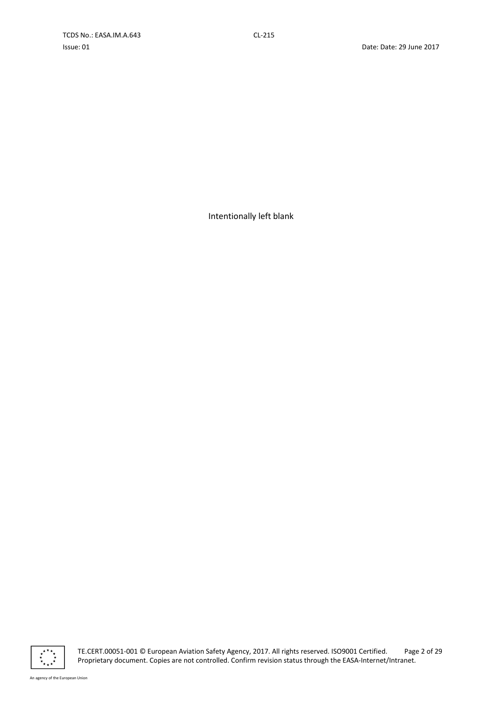Intentionally left blank



TE.CERT.00051-001 © European Aviation Safety Agency, 2017. All rights reserved. ISO9001 Certified. Page 2 of 29 Proprietary document. Copies are not controlled. Confirm revision status through the EASA-Internet/Intranet.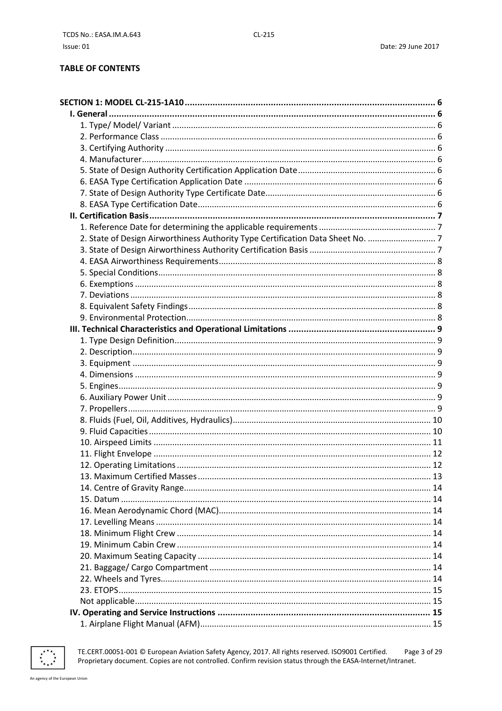## **TABLE OF CONTENTS**

| 2. State of Design Airworthiness Authority Type Certification Data Sheet No. |  |
|------------------------------------------------------------------------------|--|
|                                                                              |  |
|                                                                              |  |
|                                                                              |  |
|                                                                              |  |
|                                                                              |  |
|                                                                              |  |
|                                                                              |  |
|                                                                              |  |
|                                                                              |  |
|                                                                              |  |
|                                                                              |  |
|                                                                              |  |
|                                                                              |  |
|                                                                              |  |
|                                                                              |  |
|                                                                              |  |
|                                                                              |  |
|                                                                              |  |
|                                                                              |  |
|                                                                              |  |
|                                                                              |  |
|                                                                              |  |
|                                                                              |  |
|                                                                              |  |
|                                                                              |  |
|                                                                              |  |
|                                                                              |  |
|                                                                              |  |
|                                                                              |  |
|                                                                              |  |
|                                                                              |  |
|                                                                              |  |
|                                                                              |  |
|                                                                              |  |



TE.CERT.00051-001 © European Aviation Safety Agency, 2017. All rights reserved. ISO9001 Certified. Page 3 of 29 Proprietary document. Copies are not controlled. Confirm revision status through the EASA-Internet/Intranet.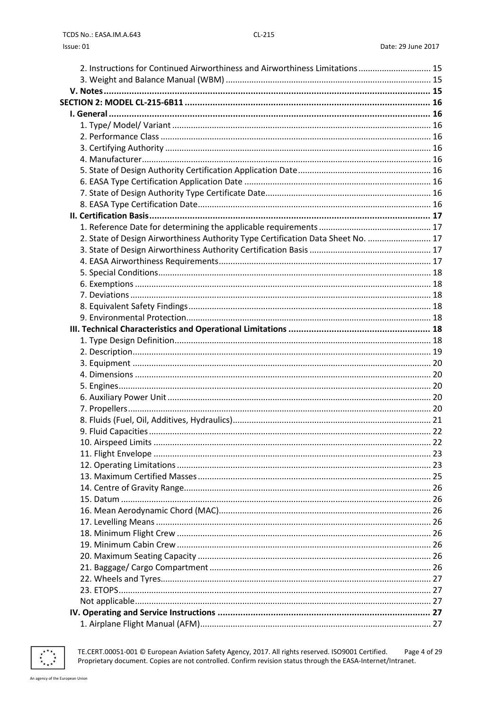| 2. Instructions for Continued Airworthiness and Airworthiness Limitations  15    |    |
|----------------------------------------------------------------------------------|----|
|                                                                                  |    |
|                                                                                  |    |
|                                                                                  |    |
|                                                                                  |    |
|                                                                                  |    |
|                                                                                  |    |
|                                                                                  |    |
|                                                                                  |    |
|                                                                                  |    |
|                                                                                  |    |
|                                                                                  |    |
|                                                                                  |    |
|                                                                                  |    |
|                                                                                  |    |
| 2. State of Design Airworthiness Authority Type Certification Data Sheet No.  17 |    |
|                                                                                  |    |
|                                                                                  |    |
|                                                                                  |    |
|                                                                                  |    |
|                                                                                  |    |
|                                                                                  |    |
|                                                                                  |    |
|                                                                                  |    |
|                                                                                  |    |
|                                                                                  |    |
|                                                                                  |    |
|                                                                                  |    |
|                                                                                  |    |
|                                                                                  |    |
|                                                                                  |    |
|                                                                                  |    |
|                                                                                  |    |
|                                                                                  |    |
|                                                                                  |    |
|                                                                                  |    |
|                                                                                  |    |
|                                                                                  |    |
|                                                                                  |    |
|                                                                                  |    |
|                                                                                  |    |
|                                                                                  |    |
|                                                                                  |    |
|                                                                                  |    |
|                                                                                  |    |
|                                                                                  |    |
|                                                                                  |    |
|                                                                                  |    |
|                                                                                  | 27 |
|                                                                                  |    |

 $\overline{\mathbf{y}^{\star}_{\star}}^{\star\star}_{\star\star}$ 

TE.CERT.00051-001 © European Aviation Safety Agency, 2017. All rights reserved. ISO9001 Certified. Page 4 of 29 Proprietary document. Copies are not controlled. Confirm revision status through the EASA-Internet/Intranet.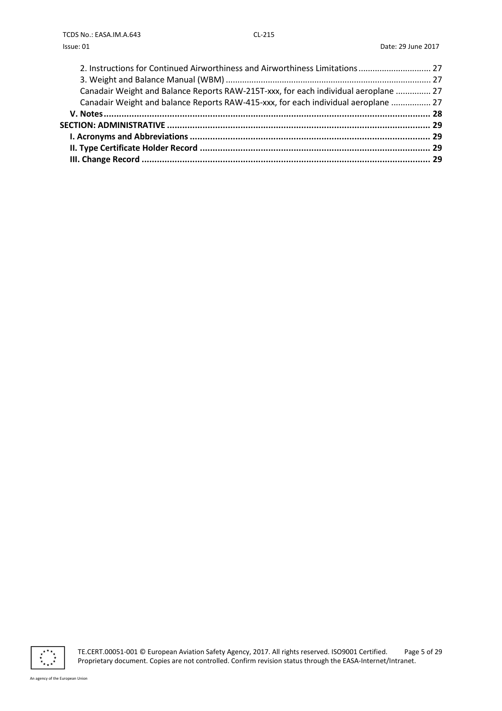| 27 Instructions for Continued Airworthiness and Airworthiness Limitations  27       |  |
|-------------------------------------------------------------------------------------|--|
|                                                                                     |  |
| Canadair Weight and Balance Reports RAW-215T-xxx, for each individual aeroplane  27 |  |
| Canadair Weight and balance Reports RAW-415-xxx, for each individual aeroplane  27  |  |
|                                                                                     |  |
| SECTION: ADMINISTRATIVE …………………………………………………………………………………………… 29                      |  |
|                                                                                     |  |
|                                                                                     |  |
|                                                                                     |  |



TE.CERT.00051-001 © European Aviation Safety Agency, 2017. All rights reserved. ISO9001 Certified. Page 5 of 29 Proprietary document. Copies are not controlled. Confirm revision status through the EASA-Internet/Intranet.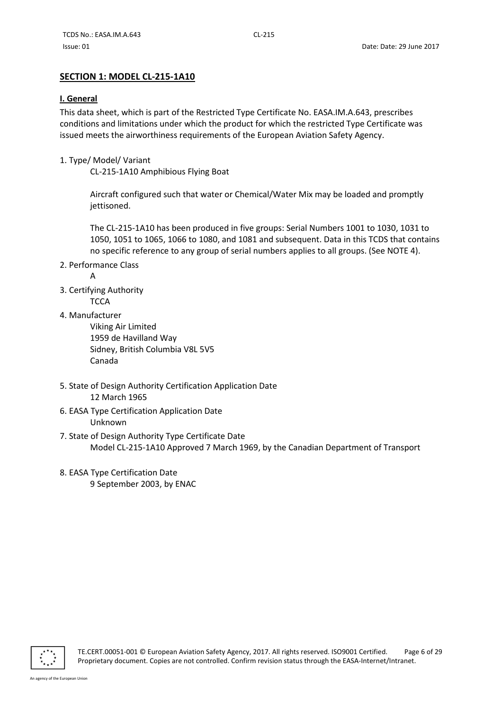# **SECTION 1: MODEL CL-215-1A10**

## **I. General**

This data sheet, which is part of the Restricted Type Certificate No. EASA.IM.A.643, prescribes conditions and limitations under which the product for which the restricted Type Certificate was issued meets the airworthiness requirements of the European Aviation Safety Agency.

## 1. Type/ Model/ Variant

CL-215-1A10 Amphibious Flying Boat

Aircraft configured such that water or Chemical/Water Mix may be loaded and promptly jettisoned.

The CL-215-1A10 has been produced in five groups: Serial Numbers 1001 to 1030, 1031 to 1050, 1051 to 1065, 1066 to 1080, and 1081 and subsequent. Data in this TCDS that contains no specific reference to any group of serial numbers applies to all groups. (See NOTE 4).

2. Performance Class

A

- 3. Certifying Authority **TCCA**
- 4. Manufacturer

Viking Air Limited 1959 de Havilland Way Sidney, British Columbia V8L 5V5 Canada

- 5. State of Design Authority Certification Application Date 12 March 1965
- 6. EASA Type Certification Application Date Unknown
- 7. State of Design Authority Type Certificate Date Model CL-215-1A10 Approved 7 March 1969, by the Canadian Department of Transport
- 8. EASA Type Certification Date 9 September 2003, by ENAC



TE.CERT.00051-001 © European Aviation Safety Agency, 2017. All rights reserved. ISO9001 Certified. Page 6 of 29 Proprietary document. Copies are not controlled. Confirm revision status through the EASA-Internet/Intranet.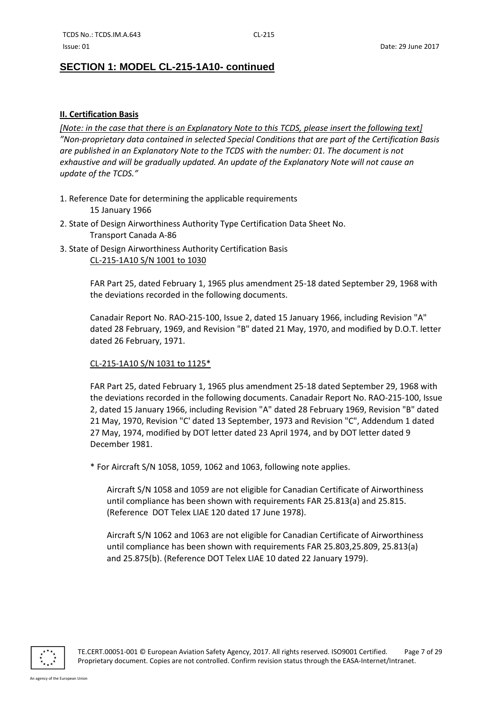## **II. Certification Basis**

*[Note: in the case that there is an Explanatory Note to this TCDS, please insert the following text] "Non-proprietary data contained in selected Special Conditions that are part of the Certification Basis are published in an Explanatory Note to the TCDS with the number: 01. The document is not exhaustive and will be gradually updated. An update of the Explanatory Note will not cause an update of the TCDS."* 

- 1. Reference Date for determining the applicable requirements 15 January 1966
- 2. State of Design Airworthiness Authority Type Certification Data Sheet No. Transport Canada A-86
- 3. State of Design Airworthiness Authority Certification Basis CL-215-1A10 S/N 1001 to 1030

FAR Part 25, dated February 1, 1965 plus amendment 25-18 dated September 29, 1968 with the deviations recorded in the following documents.

Canadair Report No. RAO-215-100, Issue 2, dated 15 January 1966, including Revision "A" dated 28 February, 1969, and Revision "B" dated 21 May, 1970, and modified by D.O.T. letter dated 26 February, 1971.

#### CL-215-1A10 S/N 1031 to 1125\*

FAR Part 25, dated February 1, 1965 plus amendment 25-18 dated September 29, 1968 with the deviations recorded in the following documents. Canadair Report No. RAO-215-100, Issue 2, dated 15 January 1966, including Revision "A" dated 28 February 1969, Revision "B" dated 21 May, 1970, Revision "C' dated 13 September, 1973 and Revision "C", Addendum 1 dated 27 May, 1974, modified by DOT letter dated 23 April 1974, and by DOT letter dated 9 December 1981.

\* For Aircraft S/N 1058, 1059, 1062 and 1063, following note applies.

Aircraft S/N 1058 and 1059 are not eligible for Canadian Certificate of Airworthiness until compliance has been shown with requirements FAR 25.813(a) and 25.815. (Reference DOT Telex LIAE 120 dated 17 June 1978).

Aircraft S/N 1062 and 1063 are not eligible for Canadian Certificate of Airworthiness until compliance has been shown with requirements FAR 25.803,25.809, 25.813(a) and 25.875(b). (Reference DOT Telex LIAE 10 dated 22 January 1979).

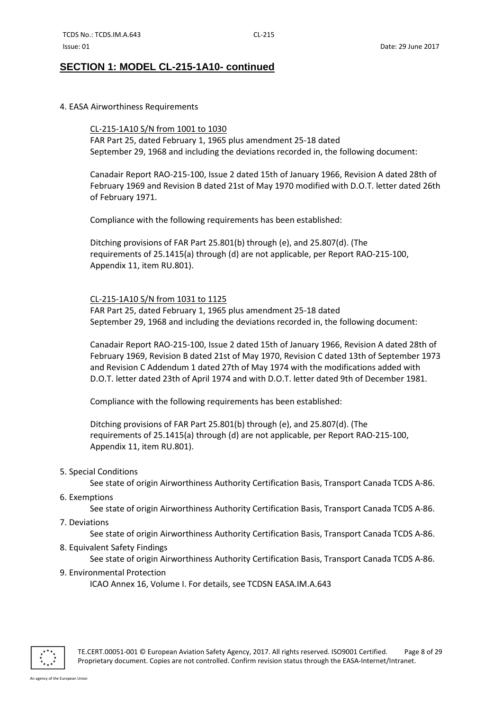4. EASA Airworthiness Requirements

#### CL-215-1A10 S/N from 1001 to 1030

FAR Part 25, dated February 1, 1965 plus amendment 25-18 dated September 29, 1968 and including the deviations recorded in, the following document:

Canadair Report RAO-215-100, Issue 2 dated 15th of January 1966, Revision A dated 28th of February 1969 and Revision B dated 21st of May 1970 modified with D.O.T. letter dated 26th of February 1971.

Compliance with the following requirements has been established:

Ditching provisions of FAR Part 25.801(b) through (e), and 25.807(d). (The requirements of 25.1415(a) through (d) are not applicable, per Report RAO-215-100, Appendix 11, item RU.801).

#### CL-215-1A10 S/N from 1031 to 1125

FAR Part 25, dated February 1, 1965 plus amendment 25-18 dated September 29, 1968 and including the deviations recorded in, the following document:

Canadair Report RAO-215-100, Issue 2 dated 15th of January 1966, Revision A dated 28th of February 1969, Revision B dated 21st of May 1970, Revision C dated 13th of September 1973 and Revision C Addendum 1 dated 27th of May 1974 with the modifications added with D.O.T. letter dated 23th of April 1974 and with D.O.T. letter dated 9th of December 1981.

Compliance with the following requirements has been established:

Ditching provisions of FAR Part 25.801(b) through (e), and 25.807(d). (The requirements of 25.1415(a) through (d) are not applicable, per Report RAO-215-100, Appendix 11, item RU.801).

5. Special Conditions

See state of origin Airworthiness Authority Certification Basis, Transport Canada TCDS A-86.

6. Exemptions

See state of origin Airworthiness Authority Certification Basis, Transport Canada TCDS A-86.

7. Deviations

See state of origin Airworthiness Authority Certification Basis, Transport Canada TCDS A-86.

8. Equivalent Safety Findings

See state of origin Airworthiness Authority Certification Basis, Transport Canada TCDS A-86.

9. Environmental Protection

ICAO Annex 16, Volume I. For details, see TCDSN EASA.IM.A.643

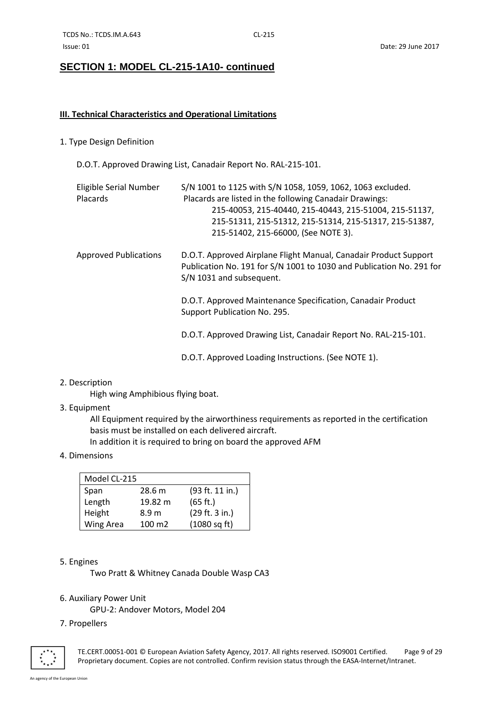#### **III. Technical Characteristics and Operational Limitations**

#### 1. Type Design Definition

D.O.T. Approved Drawing List, Canadair Report No. RAL-215-101.

| Eligible Serial Number<br><b>Placards</b> | S/N 1001 to 1125 with S/N 1058, 1059, 1062, 1063 excluded.<br>Placards are listed in the following Canadair Drawings:<br>215-40053, 215-40440, 215-40443, 215-51004, 215-51137,<br>215-51311, 215-51312, 215-51314, 215-51317, 215-51387,<br>215-51402, 215-66000, (See NOTE 3). |
|-------------------------------------------|----------------------------------------------------------------------------------------------------------------------------------------------------------------------------------------------------------------------------------------------------------------------------------|
| <b>Approved Publications</b>              | D.O.T. Approved Airplane Flight Manual, Canadair Product Support<br>Publication No. 191 for S/N 1001 to 1030 and Publication No. 291 for<br>S/N 1031 and subsequent.                                                                                                             |
|                                           | D.O.T. Approved Maintenance Specification, Canadair Product<br>Support Publication No. 295.                                                                                                                                                                                      |
|                                           | D.O.T. Approved Drawing List, Canadair Report No. RAL-215-101.                                                                                                                                                                                                                   |
|                                           | D.O.T. Approved Loading Instructions. (See NOTE 1).                                                                                                                                                                                                                              |

## 2. Description

High wing Amphibious flying boat.

#### 3. Equipment

All Equipment required by the airworthiness requirements as reported in the certification basis must be installed on each delivered aircraft.

In addition it is required to bring on board the approved AFM

4. Dimensions

| Model CL-215 |                   |                 |  |  |
|--------------|-------------------|-----------------|--|--|
| Span         | 28.6 m            | (93 ft. 11 in.) |  |  |
| Length       | 19.82 m           | (65 ft.)        |  |  |
| Height       | 8.9 <sub>m</sub>  | (29 ft. 3 in.)  |  |  |
| Wing Area    | $100 \text{ m}$ 2 | (1080 sq ft)    |  |  |

#### 5. Engines

Two Pratt & Whitney Canada Double Wasp CA3

6. Auxiliary Power Unit

GPU-2: Andover Motors, Model 204

#### 7. Propellers



TE.CERT.00051-001 © European Aviation Safety Agency, 2017. All rights reserved. ISO9001 Certified. Page 9 of 29 Proprietary document. Copies are not controlled. Confirm revision status through the EASA-Internet/Intranet.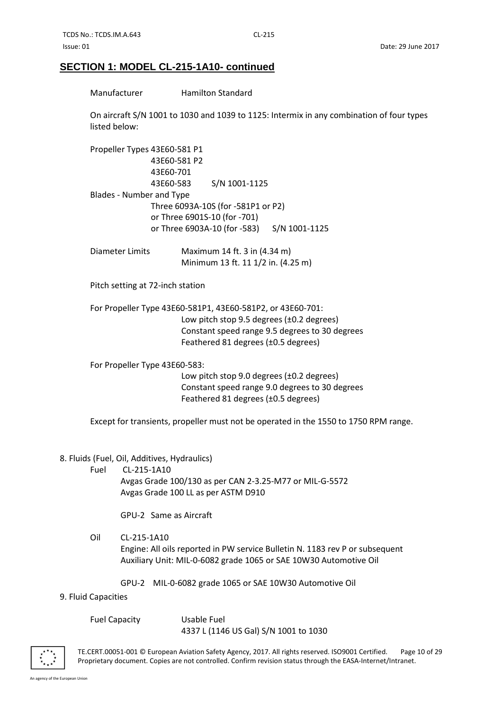|                     | Manufacturer                                                           | <b>Hamilton Standard</b>                                                                                                                                                                         |
|---------------------|------------------------------------------------------------------------|--------------------------------------------------------------------------------------------------------------------------------------------------------------------------------------------------|
| listed below:       |                                                                        | On aircraft S/N 1001 to 1030 and 1039 to 1125: Intermix in any combination of four types                                                                                                         |
|                     | Propeller Types 43E60-581 P1<br>43E60-581 P2<br>43E60-701<br>43E60-583 | S/N 1001-1125                                                                                                                                                                                    |
|                     | Blades - Number and Type                                               | Three 6093A-10S (for -581P1 or P2)<br>or Three 6901S-10 (for -701)<br>or Three 6903A-10 (for -583) S/N 1001-1125                                                                                 |
|                     | Diameter Limits                                                        | Maximum 14 ft. 3 in (4.34 m)<br>Minimum 13 ft. 11 1/2 in. (4.25 m)                                                                                                                               |
|                     | Pitch setting at 72-inch station                                       |                                                                                                                                                                                                  |
|                     |                                                                        | For Propeller Type 43E60-581P1, 43E60-581P2, or 43E60-701:<br>Low pitch stop 9.5 degrees (±0.2 degrees)<br>Constant speed range 9.5 degrees to 30 degrees<br>Feathered 81 degrees (±0.5 degrees) |
|                     | For Propeller Type 43E60-583:                                          | Low pitch stop 9.0 degrees $(\pm 0.2$ degrees)<br>Constant speed range 9.0 degrees to 30 degrees<br>Feathered 81 degrees (±0.5 degrees)                                                          |
|                     |                                                                        | Except for transients, propeller must not be operated in the 1550 to 1750 RPM range.                                                                                                             |
| Fuel                | 8. Fluids (Fuel, Oil, Additives, Hydraulics)<br>CL-215-1A10            | Avgas Grade 100/130 as per CAN 2-3.25-M77 or MIL-G-5572<br>Avgas Grade 100 LL as per ASTM D910                                                                                                   |
|                     | GPU-2 Same as Aircraft                                                 |                                                                                                                                                                                                  |
| Oil                 | CL-215-1A10                                                            | Engine: All oils reported in PW service Bulletin N. 1183 rev P or subsequent<br>Auxiliary Unit: MIL-0-6082 grade 1065 or SAE 10W30 Automotive Oil                                                |
| 9. Fluid Capacities | GPU-2                                                                  | MIL-0-6082 grade 1065 or SAE 10W30 Automotive Oil                                                                                                                                                |
|                     |                                                                        |                                                                                                                                                                                                  |

Fuel Capacity Usable Fuel 4337 L (1146 US Gal) S/N 1001 to 1030



TE.CERT.00051-001 © European Aviation Safety Agency, 2017. All rights reserved. ISO9001 Certified. Page 10 of 29 Proprietary document. Copies are not controlled. Confirm revision status through the EASA-Internet/Intranet.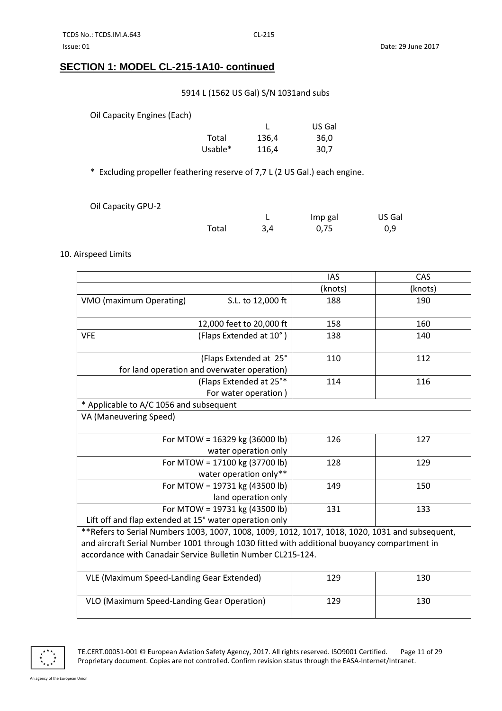| Oil Capacity Engines (Each) |  |  |
|-----------------------------|--|--|
|-----------------------------|--|--|

|         |       | US Gal |
|---------|-------|--------|
| Total   | 136,4 | 36,0   |
| Usable* | 116,4 | 30.7   |

\* Excluding propeller feathering reserve of 7,7 L (2 US Gal.) each engine.

Oil Capacity GPU-2

|       |     | Imp gal | US Gal |
|-------|-----|---------|--------|
| Total | 3,4 | 0,75    | 0,9    |

## 10. Airspeed Limits

|                                                                                                 |                                  | <b>IAS</b> | CAS     |
|-------------------------------------------------------------------------------------------------|----------------------------------|------------|---------|
|                                                                                                 |                                  | (knots)    | (knots) |
| VMO (maximum Operating)                                                                         | S.L. to 12,000 ft                | 188        | 190     |
|                                                                                                 | 12,000 feet to 20,000 ft         | 158        | 160     |
| <b>VFE</b>                                                                                      | (Flaps Extended at 10°)          | 138        | 140     |
|                                                                                                 | (Flaps Extended at 25°           | 110        | 112     |
| for land operation and overwater operation)                                                     |                                  |            |         |
|                                                                                                 | (Flaps Extended at 25°*          | 114        | 116     |
|                                                                                                 | For water operation)             |            |         |
| * Applicable to A/C 1056 and subsequent                                                         |                                  |            |         |
| VA (Maneuvering Speed)                                                                          |                                  |            |         |
|                                                                                                 | For MTOW = $16329$ kg (36000 lb) | 126        | 127     |
|                                                                                                 | water operation only             |            |         |
|                                                                                                 | For MTOW = 17100 kg (37700 lb)   | 128        | 129     |
|                                                                                                 | water operation only**           |            |         |
|                                                                                                 | For MTOW = 19731 kg (43500 lb)   | 149        | 150     |
|                                                                                                 | land operation only              |            |         |
|                                                                                                 | For MTOW = 19731 kg (43500 lb)   | 131        | 133     |
| Lift off and flap extended at 15° water operation only                                          |                                  |            |         |
| **Refers to Serial Numbers 1003, 1007, 1008, 1009, 1012, 1017, 1018, 1020, 1031 and subsequent, |                                  |            |         |
| and aircraft Serial Number 1001 through 1030 fitted with additional buoyancy compartment in     |                                  |            |         |
| accordance with Canadair Service Bulletin Number CL215-124.                                     |                                  |            |         |
| VLE (Maximum Speed-Landing Gear Extended)                                                       |                                  | 129        | 130     |
| VLO (Maximum Speed-Landing Gear Operation)                                                      |                                  | 129        | 130     |



TE.CERT.00051-001 © European Aviation Safety Agency, 2017. All rights reserved. ISO9001 Certified. Page 11 of 29 Proprietary document. Copies are not controlled. Confirm revision status through the EASA-Internet/Intranet.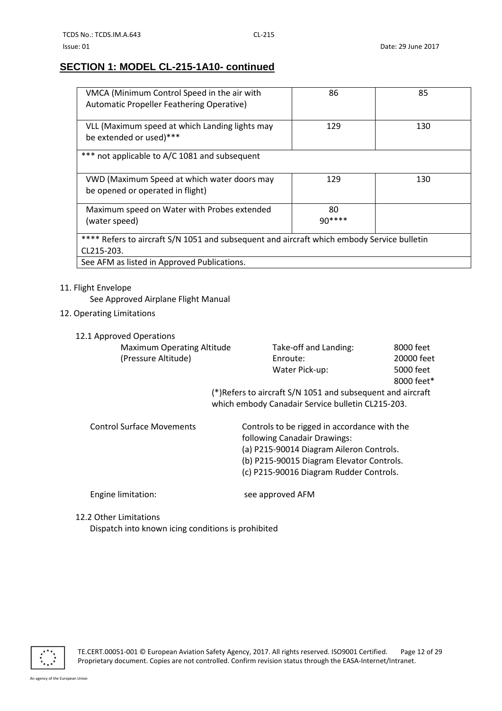| VMCA (Minimum Control Speed in the air with<br>Automatic Propeller Feathering Operative)   | 86            | 85  |  |
|--------------------------------------------------------------------------------------------|---------------|-----|--|
| VLL (Maximum speed at which Landing lights may<br>be extended or used)***                  | 129           | 130 |  |
| *** not applicable to A/C 1081 and subsequent                                              |               |     |  |
| VWD (Maximum Speed at which water doors may<br>be opened or operated in flight)            | 129           | 130 |  |
| Maximum speed on Water with Probes extended<br>(water speed)                               | 80<br>$90***$ |     |  |
| **** Refers to aircraft S/N 1051 and subsequent and aircraft which embody Service bulletin |               |     |  |
| CL215-203.                                                                                 |               |     |  |
| See AFM as listed in Approved Publications.                                                |               |     |  |

#### 11. Flight Envelope

See Approved Airplane Flight Manual

#### 12. Operating Limitations

| 12.1 Approved Operations          |                                                             |            |
|-----------------------------------|-------------------------------------------------------------|------------|
| <b>Maximum Operating Altitude</b> | Take-off and Landing:                                       | 8000 feet  |
| (Pressure Altitude)               | Enroute:                                                    | 20000 feet |
|                                   | Water Pick-up:                                              | 5000 feet  |
|                                   |                                                             | 8000 feet* |
|                                   | (*) Refers to aircraft S/N 1051 and subsequent and aircraft |            |
|                                   | which embody Canadair Service bulletin CL215-203.           |            |
| <b>Control Surface Movements</b>  | Controls to be rigged in accordance with the                |            |
|                                   | following Canadair Drawings:                                |            |
|                                   | (a) P215-90014 Diagram Aileron Controls.                    |            |
|                                   | (b) P215-90015 Diagram Elevator Controls.                   |            |
|                                   | (c) P215-90016 Diagram Rudder Controls.                     |            |
| Engine limitation:                | see approved AFM                                            |            |

12.2 Other Limitations Dispatch into known icing conditions is prohibited



TE.CERT.00051-001 © European Aviation Safety Agency, 2017. All rights reserved. ISO9001 Certified. Page 12 of 29 Proprietary document. Copies are not controlled. Confirm revision status through the EASA-Internet/Intranet.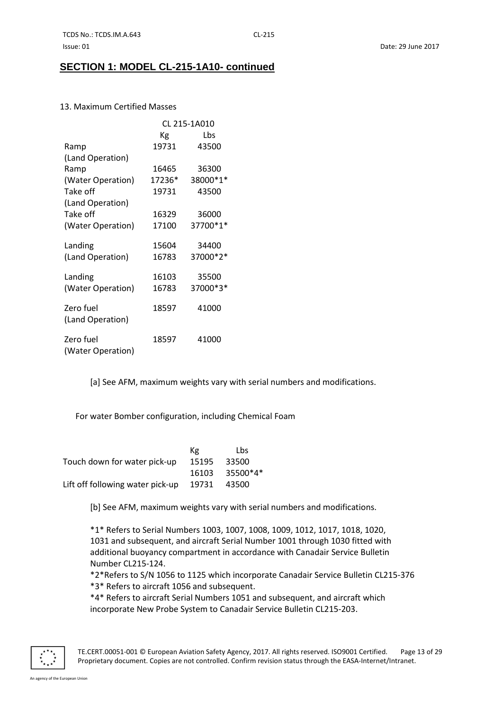## 13. Maximum Certified Masses

|                                | CL 215-1A010 |          |
|--------------------------------|--------------|----------|
|                                | Кg           | Lbs      |
| Ramp                           | 19731        | 43500    |
| (Land Operation)               |              |          |
| Ramp                           | 16465        | 36300    |
| (Water Operation)              | 17236*       | 38000*1* |
| Take off                       | 19731        | 43500    |
| (Land Operation)               |              |          |
| Take off                       | 16329        | 36000    |
| (Water Operation)              | 17100        | 37700*1* |
| Landing                        | 15604        | 34400    |
| (Land Operation)               | 16783        | 37000*2* |
| Landing                        | 16103        | 35500    |
| (Water Operation)              | 16783        | 37000*3* |
| Zero fuel<br>(Land Operation)  | 18597        | 41000    |
| Zero fuel<br>(Water Operation) | 18597        | 41000    |

[a] See AFM, maximum weights vary with serial numbers and modifications.

For water Bomber configuration, including Chemical Foam

|                                  | Kg    | <b>Lbs</b>     |
|----------------------------------|-------|----------------|
| Touch down for water pick-up     | 15195 | 33500          |
|                                  |       | 16103 35500*4* |
| Lift off following water pick-up | 19731 | 43500          |

[b] See AFM, maximum weights vary with serial numbers and modifications.

\*1\* Refers to Serial Numbers 1003, 1007, 1008, 1009, 1012, 1017, 1018, 1020, 1031 and subsequent, and aircraft Serial Number 1001 through 1030 fitted with additional buoyancy compartment in accordance with Canadair Service Bulletin Number CL215-124.

\*2\*Refers to S/N 1056 to 1125 which incorporate Canadair Service Bulletin CL215-376 \*3\* Refers to aircraft 1056 and subsequent.

\*4\* Refers to aircraft Serial Numbers 1051 and subsequent, and aircraft which incorporate New Probe System to Canadair Service Bulletin CL215-203.

TE.CERT.00051-001 © European Aviation Safety Agency, 2017. All rights reserved. ISO9001 Certified. Page 13 of 29 Proprietary document. Copies are not controlled. Confirm revision status through the EASA-Internet/Intranet.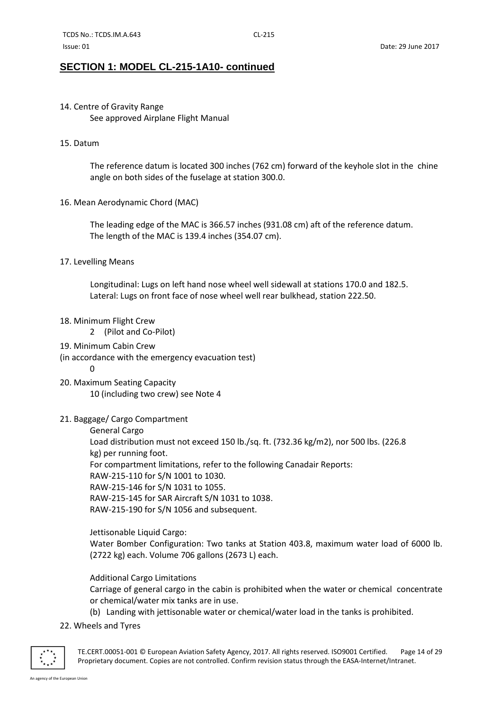14. Centre of Gravity Range See approved Airplane Flight Manual

#### 15. Datum

The reference datum is located 300 inches (762 cm) forward of the keyhole slot in the chine angle on both sides of the fuselage at station 300.0.

16. Mean Aerodynamic Chord (MAC)

The leading edge of the MAC is 366.57 inches (931.08 cm) aft of the reference datum. The length of the MAC is 139.4 inches (354.07 cm).

#### 17. Levelling Means

Longitudinal: Lugs on left hand nose wheel well sidewall at stations 170.0 and 182.5. Lateral: Lugs on front face of nose wheel well rear bulkhead, station 222.50.

- 18. Minimum Flight Crew
	- 2 (Pilot and Co-Pilot)
- 19. Minimum Cabin Crew
- (in accordance with the emergency evacuation test)
- 0
- 20. Maximum Seating Capacity 10 (including two crew) see Note 4
- 21. Baggage/ Cargo Compartment

 General Cargo Load distribution must not exceed 150 lb./sq. ft. (732.36 kg/m2), nor 500 lbs. (226.8 kg) per running foot. For compartment limitations, refer to the following Canadair Reports: RAW-215-110 for S/N 1001 to 1030. RAW-215-146 for S/N 1031 to 1055. RAW-215-145 for SAR Aircraft S/N 1031 to 1038. RAW-215-190 for S/N 1056 and subsequent.

Jettisonable Liquid Cargo:

Water Bomber Configuration: Two tanks at Station 403.8, maximum water load of 6000 lb. (2722 kg) each. Volume 706 gallons (2673 L) each.

 Additional Cargo Limitations Carriage of general cargo in the cabin is prohibited when the water or chemical concentrate or chemical/water mix tanks are in use.

- (b) Landing with jettisonable water or chemical/water load in the tanks is prohibited.
- 22. Wheels and Tyres



TE.CERT.00051-001 © European Aviation Safety Agency, 2017. All rights reserved. ISO9001 Certified. Page 14 of 29 Proprietary document. Copies are not controlled. Confirm revision status through the EASA-Internet/Intranet.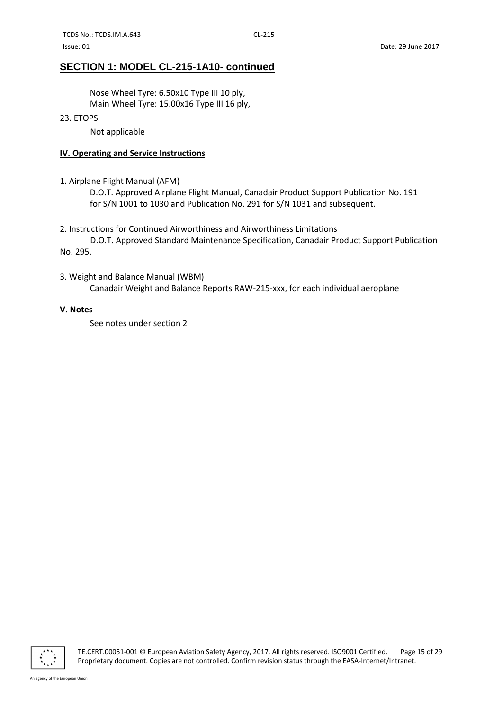Nose Wheel Tyre: 6.50x10 Type III 10 ply, Main Wheel Tyre: 15.00x16 Type III 16 ply,

#### 23. ETOPS

Not applicable

# **IV. Operating and Service Instructions**

1. Airplane Flight Manual (AFM)

 D.O.T. Approved Airplane Flight Manual, Canadair Product Support Publication No. 191 for S/N 1001 to 1030 and Publication No. 291 for S/N 1031 and subsequent.

2. Instructions for Continued Airworthiness and Airworthiness Limitations

 D.O.T. Approved Standard Maintenance Specification, Canadair Product Support Publication No. 295.

3. Weight and Balance Manual (WBM) Canadair Weight and Balance Reports RAW-215-xxx, for each individual aeroplane

## **V. Notes**

See notes under section 2

TE.CERT.00051-001 © European Aviation Safety Agency, 2017. All rights reserved. ISO9001 Certified. Page 15 of 29 Proprietary document. Copies are not controlled. Confirm revision status through the EASA-Internet/Intranet.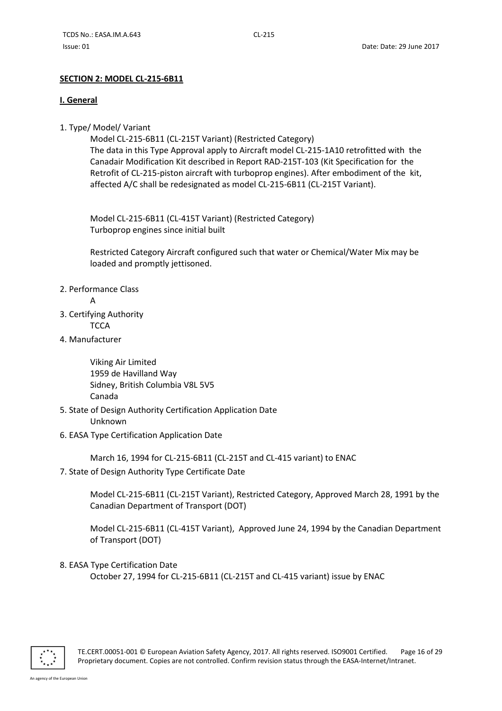## **SECTION 2: MODEL CL-215-6B11**

#### **I. General**

1. Type/ Model/ Variant

 Model CL-215-6B11 (CL-215T Variant) (Restricted Category) The data in this Type Approval apply to Aircraft model CL-215-1A10 retrofitted with the Canadair Modification Kit described in Report RAD-215T-103 (Kit Specification for the Retrofit of CL-215-piston aircraft with turboprop engines). After embodiment of the kit, affected A/C shall be redesignated as model CL-215-6B11 (CL-215T Variant).

Model CL-215-6B11 (CL-415T Variant) (Restricted Category) Turboprop engines since initial built

Restricted Category Aircraft configured such that water or Chemical/Water Mix may be loaded and promptly jettisoned.

2. Performance Class

A

- 3. Certifying Authority **TCCA**
- 4. Manufacturer

Viking Air Limited 1959 de Havilland Way Sidney, British Columbia V8L 5V5 Canada

- 5. State of Design Authority Certification Application Date Unknown
- 6. EASA Type Certification Application Date

March 16, 1994 for CL-215-6B11 (CL-215T and CL-415 variant) to ENAC

7. State of Design Authority Type Certificate Date

Model CL-215-6B11 (CL-215T Variant), Restricted Category, Approved March 28, 1991 by the Canadian Department of Transport (DOT)

Model CL-215-6B11 (CL-415T Variant), Approved June 24, 1994 by the Canadian Department of Transport (DOT)

8. EASA Type Certification Date

October 27, 1994 for CL-215-6B11 (CL-215T and CL-415 variant) issue by ENAC

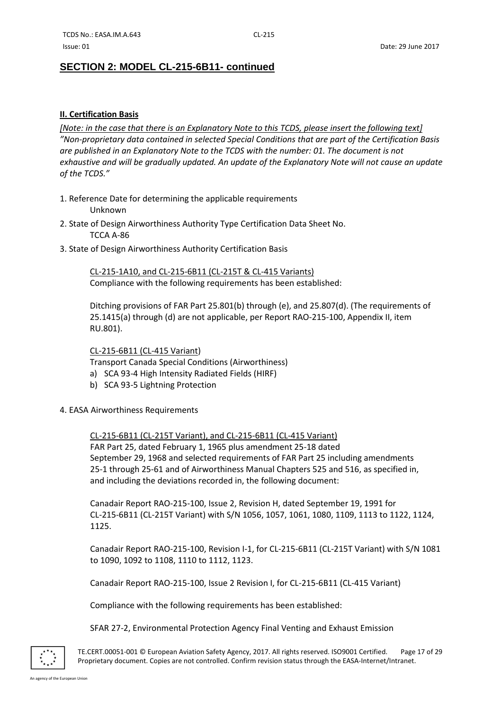## **II. Certification Basis**

*[Note: in the case that there is an Explanatory Note to this TCDS, please insert the following text] "Non-proprietary data contained in selected Special Conditions that are part of the Certification Basis are published in an Explanatory Note to the TCDS with the number: 01. The document is not exhaustive and will be gradually updated. An update of the Explanatory Note will not cause an update of the TCDS."* 

- 1. Reference Date for determining the applicable requirements Unknown
- 2. State of Design Airworthiness Authority Type Certification Data Sheet No. TCCA A-86
- 3. State of Design Airworthiness Authority Certification Basis

 CL-215-1A10, and CL-215-6B11 (CL-215T & CL-415 Variants) Compliance with the following requirements has been established:

Ditching provisions of FAR Part 25.801(b) through (e), and 25.807(d). (The requirements of 25.1415(a) through (d) are not applicable, per Report RAO-215-100, Appendix II, item RU.801).

## CL-215-6B11 (CL-415 Variant)

Transport Canada Special Conditions (Airworthiness)

- a) SCA 93-4 High Intensity Radiated Fields (HIRF)
- b) SCA 93-5 Lightning Protection
- 4. EASA Airworthiness Requirements

 CL-215-6B11 (CL-215T Variant), and CL-215-6B11 (CL-415 Variant) FAR Part 25, dated February 1, 1965 plus amendment 25-18 dated September 29, 1968 and selected requirements of FAR Part 25 including amendments 25-1 through 25-61 and of Airworthiness Manual Chapters 525 and 516, as specified in, and including the deviations recorded in, the following document:

Canadair Report RAO-215-100, Issue 2, Revision H, dated September 19, 1991 for CL-215-6B11 (CL-215T Variant) with S/N 1056, 1057, 1061, 1080, 1109, 1113 to 1122, 1124, 1125.

Canadair Report RAO-215-100, Revision I-1, for CL-215-6B11 (CL-215T Variant) with S/N 1081 to 1090, 1092 to 1108, 1110 to 1112, 1123.

Canadair Report RAO-215-100, Issue 2 Revision I, for CL-215-6B11 (CL-415 Variant)

Compliance with the following requirements has been established:

SFAR 27-2, Environmental Protection Agency Final Venting and Exhaust Emission

TE.CERT.00051-001 © European Aviation Safety Agency, 2017. All rights reserved. ISO9001 Certified. Page 17 of 29 Proprietary document. Copies are not controlled. Confirm revision status through the EASA-Internet/Intranet.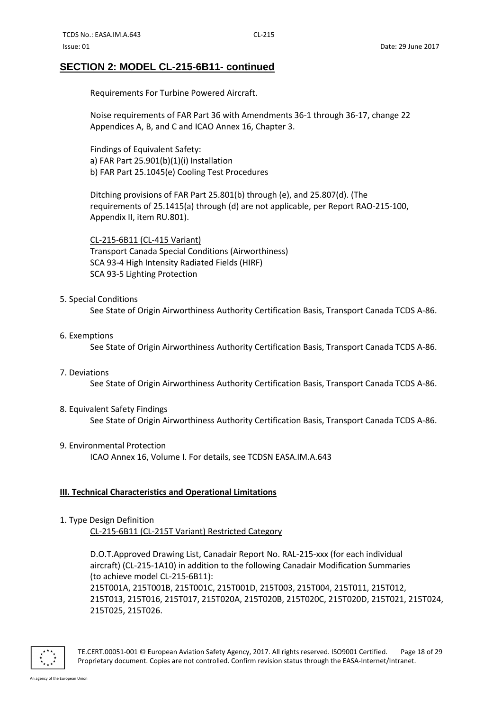Requirements For Turbine Powered Aircraft.

Noise requirements of FAR Part 36 with Amendments 36-1 through 36-17, change 22 Appendices A, B, and C and ICAO Annex 16, Chapter 3.

Findings of Equivalent Safety: a) FAR Part 25.901(b)(1)(i) Installation b) FAR Part 25.1045(e) Cooling Test Procedures

Ditching provisions of FAR Part 25.801(b) through (e), and 25.807(d). (The requirements of 25.1415(a) through (d) are not applicable, per Report RAO-215-100, Appendix II, item RU.801).

CL-215-6B11 (CL-415 Variant) Transport Canada Special Conditions (Airworthiness) SCA 93-4 High Intensity Radiated Fields (HIRF) SCA 93-5 Lighting Protection

5. Special Conditions

See State of Origin Airworthiness Authority Certification Basis, Transport Canada TCDS A-86.

6. Exemptions

See State of Origin Airworthiness Authority Certification Basis, Transport Canada TCDS A-86.

#### 7. Deviations

See State of Origin Airworthiness Authority Certification Basis, Transport Canada TCDS A-86.

8. Equivalent Safety Findings

See State of Origin Airworthiness Authority Certification Basis, Transport Canada TCDS A-86.

9. Environmental Protection

ICAO Annex 16, Volume I. For details, see TCDSN EASA.IM.A.643

#### **III. Technical Characteristics and Operational Limitations**

1. Type Design Definition

CL-215-6B11 (CL-215T Variant) Restricted Category

D.O.T.Approved Drawing List, Canadair Report No. RAL-215-xxx (for each individual aircraft) (CL-215-1A10) in addition to the following Canadair Modification Summaries (to achieve model CL-215-6B11): 215T001A, 215T001B, 215T001C, 215T001D, 215T003, 215T004, 215T011, 215T012, 215T013, 215T016, 215T017, 215T020A, 215T020B, 215T020C, 215T020D, 215T021, 215T024, 215T025, 215T026.

TE.CERT.00051-001 © European Aviation Safety Agency, 2017. All rights reserved. ISO9001 Certified. Page 18 of 29 Proprietary document. Copies are not controlled. Confirm revision status through the EASA-Internet/Intranet.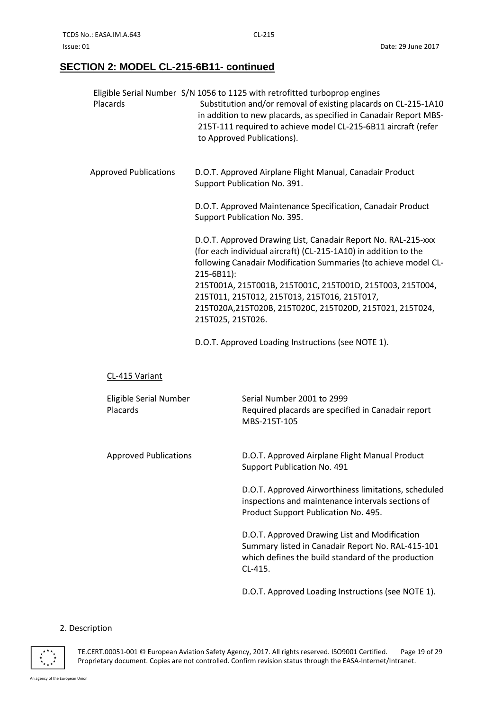| Placards                           | Eligible Serial Number S/N 1056 to 1125 with retrofitted turboprop engines<br>Substitution and/or removal of existing placards on CL-215-1A10<br>in addition to new placards, as specified in Canadair Report MBS-<br>215T-111 required to achieve model CL-215-6B11 aircraft (refer<br>to Approved Publications). |
|------------------------------------|--------------------------------------------------------------------------------------------------------------------------------------------------------------------------------------------------------------------------------------------------------------------------------------------------------------------|
| <b>Approved Publications</b>       | D.O.T. Approved Airplane Flight Manual, Canadair Product<br>Support Publication No. 391.                                                                                                                                                                                                                           |
|                                    | D.O.T. Approved Maintenance Specification, Canadair Product<br>Support Publication No. 395.                                                                                                                                                                                                                        |
|                                    | D.O.T. Approved Drawing List, Canadair Report No. RAL-215-xxx<br>(for each individual aircraft) (CL-215-1A10) in addition to the<br>following Canadair Modification Summaries (to achieve model CL-<br>215-6B11):<br>215T001A, 215T001B, 215T001C, 215T001D, 215T003, 215T004,                                     |
|                                    | 215T011, 215T012, 215T013, 215T016, 215T017,<br>215T020A,215T020B, 215T020C, 215T020D, 215T021, 215T024,<br>215T025, 215T026.                                                                                                                                                                                      |
|                                    | D.O.T. Approved Loading Instructions (see NOTE 1).                                                                                                                                                                                                                                                                 |
| CL-415 Variant                     |                                                                                                                                                                                                                                                                                                                    |
| Eligible Serial Number<br>Placards | Serial Number 2001 to 2999<br>Required placards are specified in Canadair report<br>MBS-215T-105                                                                                                                                                                                                                   |
| <b>Approved Publications</b>       | D.O.T. Approved Airplane Flight Manual Product<br>Support Publication No. 491                                                                                                                                                                                                                                      |
|                                    | D.O.T. Approved Airworthiness limitations, scheduled<br>inspections and maintenance intervals sections of<br>Product Support Publication No. 495.                                                                                                                                                                  |
|                                    | D.O.T. Approved Drawing List and Modification<br>Summary listed in Canadair Report No. RAL-415-101<br>which defines the build standard of the production<br>CL-415.                                                                                                                                                |
|                                    | D.O.T. Approved Loading Instructions (see NOTE 1).                                                                                                                                                                                                                                                                 |

#### 2. Description



TE.CERT.00051-001 © European Aviation Safety Agency, 2017. All rights reserved. ISO9001 Certified. Page 19 of 29 Proprietary document. Copies are not controlled. Confirm revision status through the EASA-Internet/Intranet.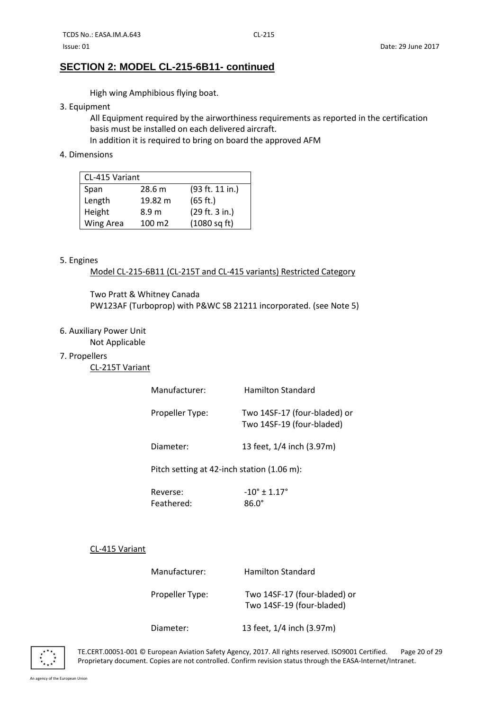High wing Amphibious flying boat.

3. Equipment

All Equipment required by the airworthiness requirements as reported in the certification basis must be installed on each delivered aircraft. In addition it is required to bring on board the approved AFM

4. Dimensions

| CL-415 Variant |                  |                 |  |
|----------------|------------------|-----------------|--|
| Span           | 28.6 m           | (93 ft. 11 in.) |  |
| Length         | 19.82 m          | (65 ft.)        |  |
| Height         | 8.9 <sub>m</sub> | (29 ft. 3 in.)  |  |
| Wing Area      | 100 m2           | (1080 sq ft)    |  |

## 5. Engines

Model CL-215-6B11 (CL-215T and CL-415 variants) Restricted Category

Two Pratt & Whitney Canada PW123AF (Turboprop) with P&WC SB 21211 incorporated. (see Note 5)

6. Auxiliary Power Unit

Not Applicable

#### 7. Propellers

CL-215T Variant

| Manufacturer:   | Hamilton Standard            |
|-----------------|------------------------------|
| Propeller Type: | Two 14SF-17 (four-bladed) or |

Two 14SF-19 (four-bladed)

Diameter: 13 feet, 1/4 inch (3.97m)

Pitch setting at 42-inch station (1.06 m):

Reverse:  $-10^{\circ} \pm 1.17^{\circ}$ Feathered: 86.0°

#### CL-415 Variant

 Manufacturer: Hamilton Standard Propeller Type: Two 14SF-17 (four-bladed) or Two 14SF-19 (four-bladed) Diameter: 13 feet, 1/4 inch (3.97m)

TE.CERT.00051-001 © European Aviation Safety Agency, 2017. All rights reserved. ISO9001 Certified. Page 20 of 29 Proprietary document. Copies are not controlled. Confirm revision status through the EASA-Internet/Intranet.

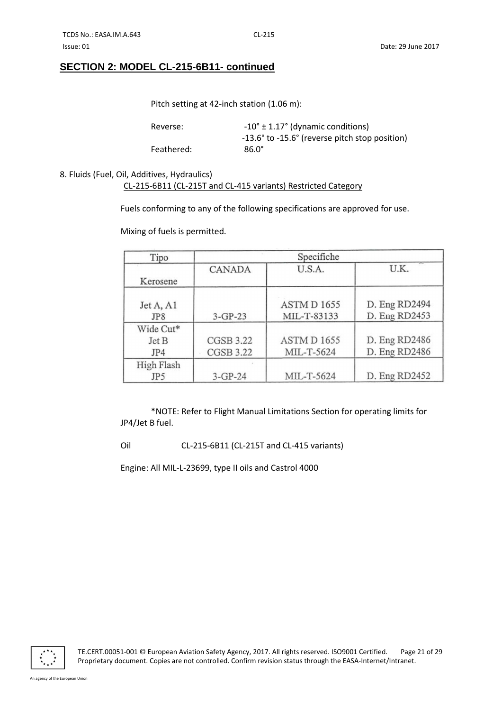Pitch setting at 42-inch station (1.06 m):

| Reverse:   | $-10^{\circ}$ ± 1.17° (dynamic conditions)     |
|------------|------------------------------------------------|
|            | -13.6° to -15.6° (reverse pitch stop position) |
| Feathered: | $86.0^\circ$                                   |

## 8. Fluids (Fuel, Oil, Additives, Hydraulics) CL-215-6B11 (CL-215T and CL-415 variants) Restricted Category

Fuels conforming to any of the following specifications are approved for use.

Mixing of fuels is permitted.

| Tipo             | Specifiche       |                                 |                                |
|------------------|------------------|---------------------------------|--------------------------------|
| Kerosene         | <b>CANADA</b>    | U.S.A.                          | U.K.                           |
| Jet A, A1<br>JP8 | $3-GP-23$        | <b>ASTMD1655</b><br>MIL-T-83133 | D. Eng RD2494<br>D. Eng RD2453 |
| Wide Cut*        |                  |                                 |                                |
| Jet B            | <b>CGSB 3.22</b> | <b>ASTMD1655</b>                | D. Eng RD2486                  |
| JP4              | <b>CGSB 3.22</b> | MIL-T-5624                      | D. Eng RD2486                  |
| High Flash       |                  |                                 |                                |
| JP5              | $3-GP-24$        | MIL-T-5624                      | D. Eng RD2452                  |

\*NOTE: Refer to Flight Manual Limitations Section for operating limits for JP4/Jet B fuel.

Oil CL-215-6B11 (CL-215T and CL-415 variants)

Engine: All MIL-L-23699, type II oils and Castrol 4000



TE.CERT.00051-001 © European Aviation Safety Agency, 2017. All rights reserved. ISO9001 Certified. Page 21 of 29 Proprietary document. Copies are not controlled. Confirm revision status through the EASA-Internet/Intranet.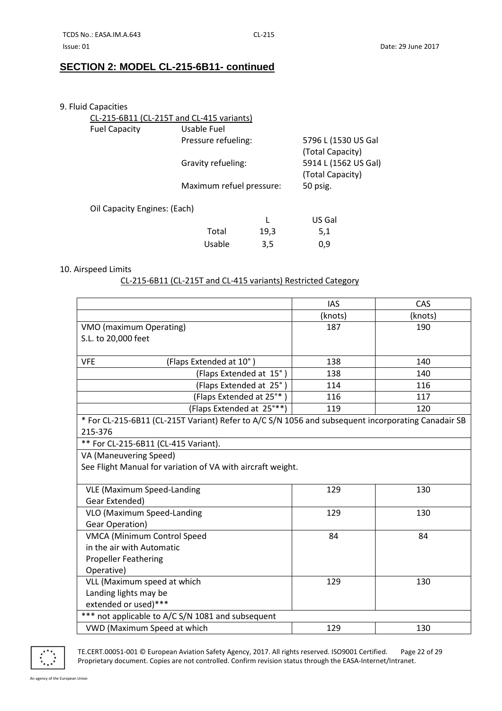| 9. Fluid Capacities  |                              |                                           |      |                                          |
|----------------------|------------------------------|-------------------------------------------|------|------------------------------------------|
|                      |                              | CL-215-6B11 (CL-215T and CL-415 variants) |      |                                          |
| <b>Fuel Capacity</b> |                              | Usable Fuel                               |      |                                          |
|                      |                              | Pressure refueling:                       |      | 5796 L (1530 US Gal<br>(Total Capacity)  |
|                      |                              | Gravity refueling:                        |      | 5914 L (1562 US Gal)<br>(Total Capacity) |
|                      |                              | Maximum refuel pressure:                  |      | 50 psig.                                 |
|                      | Oil Capacity Engines: (Each) |                                           |      |                                          |
|                      |                              |                                           |      | US Gal                                   |
|                      |                              | Total                                     | 19,3 | 5,1                                      |
|                      |                              | Usable                                    | 3,5  | 0,9                                      |

#### 10. Airspeed Limits

#### CL-215-6B11 (CL-215T and CL-415 variants) Restricted Category

|                                                                                                    | <b>IAS</b> | CAS     |  |  |
|----------------------------------------------------------------------------------------------------|------------|---------|--|--|
|                                                                                                    | (knots)    | (knots) |  |  |
| VMO (maximum Operating)                                                                            | 187        | 190     |  |  |
| S.L. to 20,000 feet                                                                                |            |         |  |  |
|                                                                                                    |            |         |  |  |
| (Flaps Extended at 10°)<br><b>VFE</b>                                                              | 138        | 140     |  |  |
| (Flaps Extended at 15°)                                                                            | 138        | 140     |  |  |
| (Flaps Extended at 25°)                                                                            | 114        | 116     |  |  |
| (Flaps Extended at 25°*)                                                                           | 116        | 117     |  |  |
| (Flaps Extended at 25°**)                                                                          | 119        | 120     |  |  |
| * For CL-215-6B11 (CL-215T Variant) Refer to A/C S/N 1056 and subsequent incorporating Canadair SB |            |         |  |  |
| 215-376                                                                                            |            |         |  |  |
| ** For CL-215-6B11 (CL-415 Variant).                                                               |            |         |  |  |
| VA (Maneuvering Speed)                                                                             |            |         |  |  |
| See Flight Manual for variation of VA with aircraft weight.                                        |            |         |  |  |
|                                                                                                    |            |         |  |  |
| <b>VLE (Maximum Speed-Landing</b>                                                                  | 129        | 130     |  |  |
| Gear Extended)                                                                                     |            |         |  |  |
| <b>VLO (Maximum Speed-Landing</b>                                                                  | 129        | 130     |  |  |
| Gear Operation)                                                                                    |            |         |  |  |
| VMCA (Minimum Control Speed                                                                        | 84         | 84      |  |  |
| in the air with Automatic                                                                          |            |         |  |  |
| <b>Propeller Feathering</b>                                                                        |            |         |  |  |
| Operative)                                                                                         |            |         |  |  |
| VLL (Maximum speed at which                                                                        | 129        | 130     |  |  |
| Landing lights may be                                                                              |            |         |  |  |
| extended or used)***                                                                               |            |         |  |  |
| *** not applicable to A/C S/N 1081 and subsequent                                                  |            |         |  |  |
| VWD (Maximum Speed at which                                                                        | 129        | 130     |  |  |



TE.CERT.00051-001 © European Aviation Safety Agency, 2017. All rights reserved. ISO9001 Certified. Page 22 of 29 Proprietary document. Copies are not controlled. Confirm revision status through the EASA-Internet/Intranet.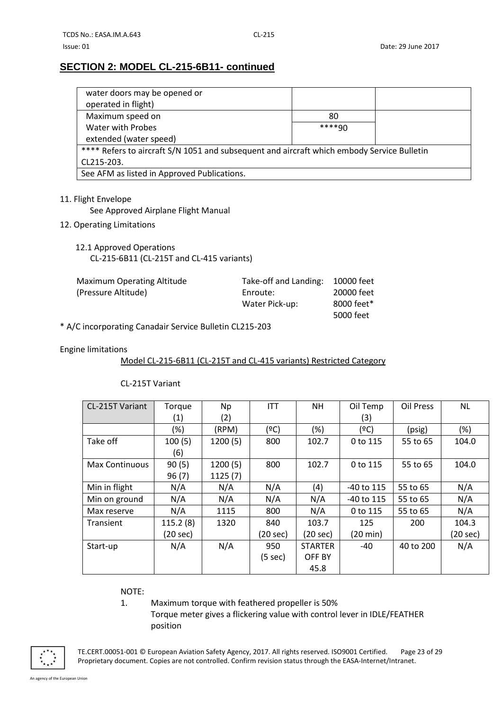| water doors may be opened or                                                               |        |  |  |
|--------------------------------------------------------------------------------------------|--------|--|--|
| operated in flight)                                                                        |        |  |  |
| Maximum speed on                                                                           | 80     |  |  |
| Water with Probes                                                                          | ****90 |  |  |
| extended (water speed)                                                                     |        |  |  |
| **** Refers to aircraft S/N 1051 and subsequent and aircraft which embody Service Bulletin |        |  |  |
| CL215-203.                                                                                 |        |  |  |
| See AFM as listed in Approved Publications.                                                |        |  |  |

#### 11. Flight Envelope

See Approved Airplane Flight Manual

#### 12. Operating Limitations

12.1 Approved Operations CL-215-6B11 (CL-215T and CL-415 variants)

| Maximum Operating Altitude | Take-off and Landing: | 10000 feet |
|----------------------------|-----------------------|------------|
| (Pressure Altitude)        | Enroute:              | 20000 feet |
|                            | Water Pick-up:        | 8000 feet* |
|                            |                       | 5000 feet  |

\* A/C incorporating Canadair Service Bulletin CL215-203

#### Engine limitations

Model CL-215-6B11 (CL-215T and CL-415 variants) Restricted Category

#### CL-215T Variant

| CL-215T Variant       | Torque            | Np      | <b>ITT</b>        | <b>NH</b>      | Oil Temp           | Oil Press | NL       |
|-----------------------|-------------------|---------|-------------------|----------------|--------------------|-----------|----------|
|                       | $\left( 1\right)$ | (2)     |                   |                | (3)                |           |          |
|                       | (%)               | (RPM)   | (ºC)              | (%)            | (ºC)               | (psig)    | $(\%)$   |
| Take off              | 100(5)            | 1200(5) | 800               | 102.7          | 0 to 115           | 55 to 65  | 104.0    |
|                       | (6)               |         |                   |                |                    |           |          |
| <b>Max Continuous</b> | 90(5)             | 1200(5) | 800               | 102.7          | 0 to 115           | 55 to 65  | 104.0    |
|                       | 96(7)             | 1125(7) |                   |                |                    |           |          |
| Min in flight         | N/A               | N/A     | N/A               | (4)            | -40 to 115         | 55 to 65  | N/A      |
| Min on ground         | N/A               | N/A     | N/A               | N/A            | -40 to 115         | 55 to 65  | N/A      |
| Max reserve           | N/A               | 1115    | 800               | N/A            | 0 to 115           | 55 to 65  | N/A      |
| Transient             | 115.2(8)          | 1320    | 840               | 103.7          | 125                | 200       | 104.3    |
|                       | (20 sec)          |         | (20 sec)          | (20 sec)       | $(20 \text{ min})$ |           | (20 sec) |
| Start-up              | N/A               | N/A     | 950               | <b>STARTER</b> | -40                | 40 to 200 | N/A      |
|                       |                   |         | $(5 \text{ sec})$ | OFF BY         |                    |           |          |
|                       |                   |         |                   | 45.8           |                    |           |          |

## NOTE:

1. Maximum torque with feathered propeller is 50% Torque meter gives a flickering value with control lever in IDLE/FEATHER position



TE.CERT.00051-001 © European Aviation Safety Agency, 2017. All rights reserved. ISO9001 Certified. Page 23 of 29 Proprietary document. Copies are not controlled. Confirm revision status through the EASA-Internet/Intranet.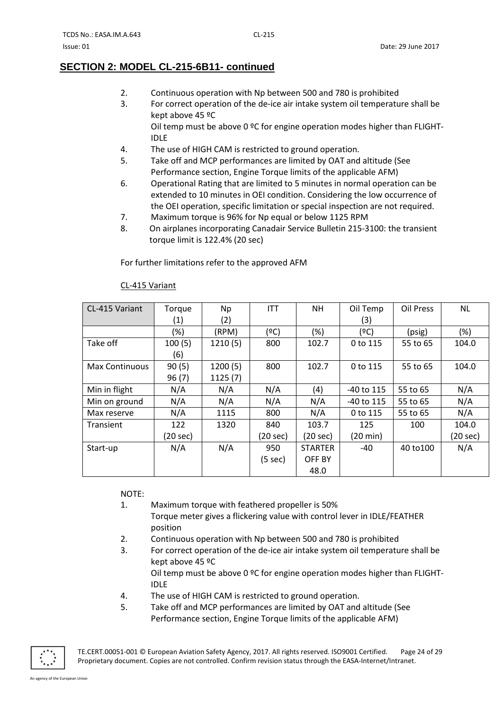IDLE

- 2. Continuous operation with Np between 500 and 780 is prohibited
- 3. For correct operation of the de-ice air intake system oil temperature shall be kept above 45 ºC Oil temp must be above 0 ºC for engine operation modes higher than FLIGHT-
- 4. The use of HIGH CAM is restricted to ground operation.
- 5. Take off and MCP performances are limited by OAT and altitude (See Performance section, Engine Torque limits of the applicable AFM)
- 6. Operational Rating that are limited to 5 minutes in normal operation can be extended to 10 minutes in OEI condition. Considering the low occurrence of the OEI operation, specific limitation or special inspection are not required.
- 7. Maximum torque is 96% for Np equal or below 1125 RPM
- 8. On airplanes incorporating Canadair Service Bulletin 215-3100: the transient torque limit is 122.4% (20 sec)

For further limitations refer to the approved AFM

| CL-415 Variant | Torque   | <b>Np</b> | <b>ITT</b>         | <b>NH</b>      | Oil Temp           | Oil Press | NL       |
|----------------|----------|-----------|--------------------|----------------|--------------------|-----------|----------|
|                | (1)      | (2)       |                    |                | (3)                |           |          |
|                | (%)      | (RPM)     | (ºC)               | (%)            | (ºC)               | (psig)    | (%)      |
| Take off       | 100(5)   | 1210(5)   | 800                | 102.7          | 0 to 115           | 55 to 65  | 104.0    |
|                | (6)      |           |                    |                |                    |           |          |
| Max Continuous | 90(5)    | 1200(5)   | 800                | 102.7          | 0 to 115           | 55 to 65  | 104.0    |
|                | 96(7)    | 1125(7)   |                    |                |                    |           |          |
| Min in flight  | N/A      | N/A       | N/A                | (4)            | -40 to 115         | 55 to 65  | N/A      |
| Min on ground  | N/A      | N/A       | N/A                | N/A            | -40 to 115         | 55 to 65  | N/A      |
| Max reserve    | N/A      | 1115      | 800                | N/A            | 0 to 115           | 55 to 65  | N/A      |
| Transient      | 122      | 1320      | 840                | 103.7          | 125                | 100       | 104.0    |
|                | (20 sec) |           | $(20 \text{ sec})$ | (20 sec)       | $(20 \text{ min})$ |           | (20 sec) |
| Start-up       | N/A      | N/A       | 950                | <b>STARTER</b> | -40                | 40 to 100 | N/A      |
|                |          |           | (5 sec)            | OFF BY         |                    |           |          |
|                |          |           |                    | 48.0           |                    |           |          |

#### CL-415 Variant

NOTE:

- 1. Maximum torque with feathered propeller is 50%
	- Torque meter gives a flickering value with control lever in IDLE/FEATHER position
- 2. Continuous operation with Np between 500 and 780 is prohibited
- 3. For correct operation of the de-ice air intake system oil temperature shall be kept above 45 ºC

 Oil temp must be above 0 ºC for engine operation modes higher than FLIGHT-IDLE

- 4. The use of HIGH CAM is restricted to ground operation.
- 5. Take off and MCP performances are limited by OAT and altitude (See Performance section, Engine Torque limits of the applicable AFM)



TE.CERT.00051-001 © European Aviation Safety Agency, 2017. All rights reserved. ISO9001 Certified. Page 24 of 29 Proprietary document. Copies are not controlled. Confirm revision status through the EASA-Internet/Intranet.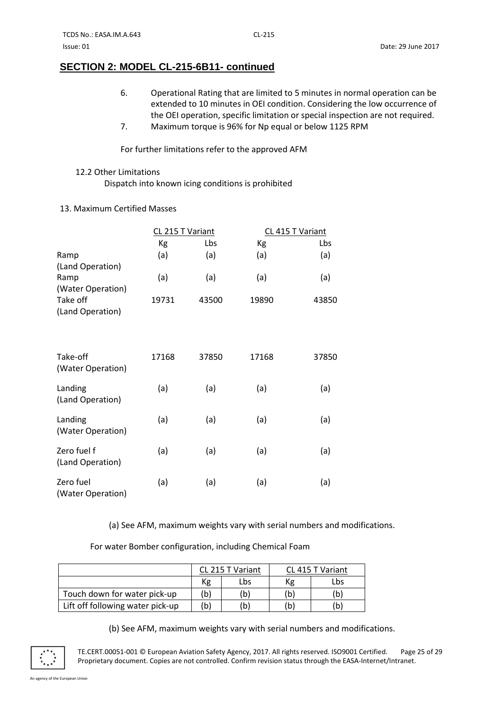- 6. Operational Rating that are limited to 5 minutes in normal operation can be extended to 10 minutes in OEI condition. Considering the low occurrence of the OEI operation, specific limitation or special inspection are not required.
- 7. Maximum torque is 96% for Np equal or below 1125 RPM

For further limitations refer to the approved AFM

# 12.2 Other Limitations

Dispatch into known icing conditions is prohibited

## 13. Maximum Certified Masses

|                   | CL 215 T Variant |       | CL 415 T Variant |       |
|-------------------|------------------|-------|------------------|-------|
|                   | Кg               | Lbs   | Кg               | Lbs   |
| Ramp              | (a)              | (a)   | (a)              | (a)   |
| (Land Operation)  |                  |       |                  |       |
| Ramp              | (a)              | (a)   | (a)              | (a)   |
| (Water Operation) |                  |       |                  |       |
| Take off          | 19731            | 43500 | 19890            | 43850 |
| (Land Operation)  |                  |       |                  |       |

| Take-off                        | 17168 | 37850 | 17168 | 37850 |
|---------------------------------|-------|-------|-------|-------|
| (Water Operation)               |       |       |       |       |
| Landing<br>(Land Operation)     | (a)   | (a)   | (a)   | (a)   |
| Landing<br>(Water Operation)    | (a)   | (a)   | (a)   | (a)   |
| Zero fuel f<br>(Land Operation) | (a)   | (a)   | (a)   | (a)   |
| Zero fuel<br>(Water Operation)  | (a)   | (a)   | (a)   | (a)   |

(a) See AFM, maximum weights vary with serial numbers and modifications.

For water Bomber configuration, including Chemical Foam

|                                  | CL 215 T Variant |      | CL 415 T Variant |     |
|----------------------------------|------------------|------|------------------|-----|
|                                  | Кg               | ∟bs. | Кg               | Lbs |
| Touch down for water pick-up     | þ,               | (b   | (b,              | (b  |
| Lift off following water pick-up | b.               | b)   | (b,              | (b) |

(b) See AFM, maximum weights vary with serial numbers and modifications.



TE.CERT.00051-001 © European Aviation Safety Agency, 2017. All rights reserved. ISO9001 Certified. Page 25 of 29 Proprietary document. Copies are not controlled. Confirm revision status through the EASA-Internet/Intranet.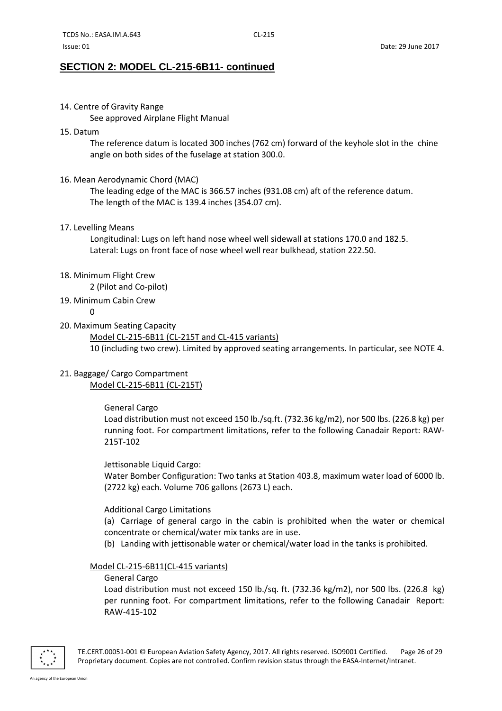14. Centre of Gravity Range

See approved Airplane Flight Manual

15. Datum

The reference datum is located 300 inches (762 cm) forward of the keyhole slot in the chine angle on both sides of the fuselage at station 300.0.

16. Mean Aerodynamic Chord (MAC)

 The leading edge of the MAC is 366.57 inches (931.08 cm) aft of the reference datum. The length of the MAC is 139.4 inches (354.07 cm).

17. Levelling Means

 Longitudinal: Lugs on left hand nose wheel well sidewall at stations 170.0 and 182.5. Lateral: Lugs on front face of nose wheel well rear bulkhead, station 222.50.

18. Minimum Flight Crew

2 (Pilot and Co-pilot)

19. Minimum Cabin Crew

0

20. Maximum Seating Capacity

Model CL-215-6B11 (CL-215T and CL-415 variants)

10 (including two crew). Limited by approved seating arrangements. In particular, see NOTE 4.

# 21. Baggage/ Cargo Compartment Model CL-215-6B11 (CL-215T)

# General Cargo

Load distribution must not exceed 150 lb./sq.ft. (732.36 kg/m2), nor 500 lbs. (226.8 kg) per running foot. For compartment limitations, refer to the following Canadair Report: RAW-215T-102

Jettisonable Liquid Cargo:

Water Bomber Configuration: Two tanks at Station 403.8, maximum water load of 6000 lb. (2722 kg) each. Volume 706 gallons (2673 L) each.

# Additional Cargo Limitations

(a) Carriage of general cargo in the cabin is prohibited when the water or chemical concentrate or chemical/water mix tanks are in use.

(b) Landing with jettisonable water or chemical/water load in the tanks is prohibited.

# Model CL-215-6B11(CL-415 variants)

#### General Cargo

Load distribution must not exceed 150 lb./sq. ft. (732.36 kg/m2), nor 500 lbs. (226.8 kg) per running foot. For compartment limitations, refer to the following Canadair Report: RAW-415-102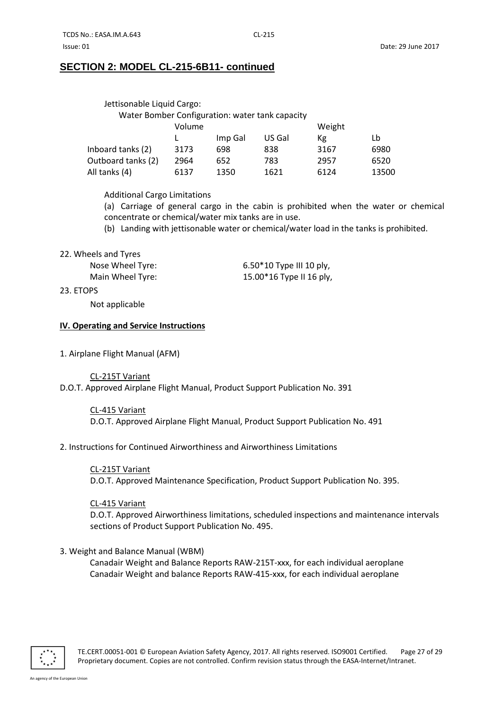| Jettisonable Liquid Cargo: |        |                                                 |        |        |       |
|----------------------------|--------|-------------------------------------------------|--------|--------|-------|
|                            |        | Water Bomber Configuration: water tank capacity |        |        |       |
|                            | Volume |                                                 |        | Weight |       |
|                            |        | Imp Gal                                         | US Gal | Кg     | Lb    |
| Inboard tanks (2)          | 3173   | 698                                             | 838    | 3167   | 6980  |
| Outboard tanks (2)         | 2964   | 652                                             | 783    | 2957   | 6520  |
| All tanks (4)              | 6137   | 1350                                            | 1621   | 6124   | 13500 |

Additional Cargo Limitations

(a) Carriage of general cargo in the cabin is prohibited when the water or chemical concentrate or chemical/water mix tanks are in use.

(b) Landing with jettisonable water or chemical/water load in the tanks is prohibited.

22. Wheels and Tyres

| Nose Wheel Tyre: | $6.50*10$ Type III 10 ply, |
|------------------|----------------------------|
| Main Wheel Tyre: | 15.00*16 Type II 16 ply,   |
|                  |                            |

# 23. ETOPS

Not applicable

## **IV. Operating and Service Instructions**

1. Airplane Flight Manual (AFM)

#### CL-215T Variant

D.O.T. Approved Airplane Flight Manual, Product Support Publication No. 391

# CL-415 Variant

D.O.T. Approved Airplane Flight Manual, Product Support Publication No. 491

# 2. Instructions for Continued Airworthiness and Airworthiness Limitations

CL-215T Variant

D.O.T. Approved Maintenance Specification, Product Support Publication No. 395.

# CL-415 Variant

D.O.T. Approved Airworthiness limitations, scheduled inspections and maintenance intervals sections of Product Support Publication No. 495.

# 3. Weight and Balance Manual (WBM)

 Canadair Weight and Balance Reports RAW-215T-xxx, for each individual aeroplane Canadair Weight and balance Reports RAW-415-xxx, for each individual aeroplane



TE.CERT.00051-001 © European Aviation Safety Agency, 2017. All rights reserved. ISO9001 Certified. Page 27 of 29 Proprietary document. Copies are not controlled. Confirm revision status through the EASA-Internet/Intranet.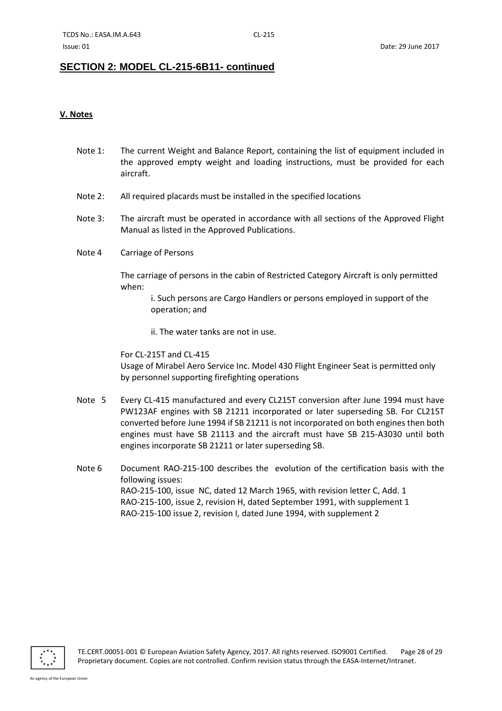#### **V. Notes**

- Note 1: The current Weight and Balance Report, containing the list of equipment included in the approved empty weight and loading instructions, must be provided for each aircraft.
- Note 2: All required placards must be installed in the specified locations
- Note 3: The aircraft must be operated in accordance with all sections of the Approved Flight Manual as listed in the Approved Publications.
- Note 4 Carriage of Persons

The carriage of persons in the cabin of Restricted Category Aircraft is only permitted when:

i. Such persons are Cargo Handlers or persons employed in support of the operation; and

ii. The water tanks are not in use.

For CL-215T and CL-415

Usage of Mirabel Aero Service Inc. Model 430 Flight Engineer Seat is permitted only by personnel supporting firefighting operations

- Note 5 Every CL-415 manufactured and every CL215T conversion after June 1994 must have PW123AF engines with SB 21211 incorporated or later superseding SB. For CL215T converted before June 1994 if SB 21211 is not incorporated on both engines then both engines must have SB 21113 and the aircraft must have SB 215-A3030 until both engines incorporate SB 21211 or later superseding SB.
- Note 6 Document RAO-215-100 describes the evolution of the certification basis with the following issues: RAO-215-100, issue NC, dated 12 March 1965, with revision letter C, Add. 1 RAO-215-100, issue 2, revision H, dated September 1991, with supplement 1 RAO-215-100 issue 2, revision I, dated June 1994, with supplement 2



TE.CERT.00051-001 © European Aviation Safety Agency, 2017. All rights reserved. ISO9001 Certified. Page 28 of 29 Proprietary document. Copies are not controlled. Confirm revision status through the EASA-Internet/Intranet.